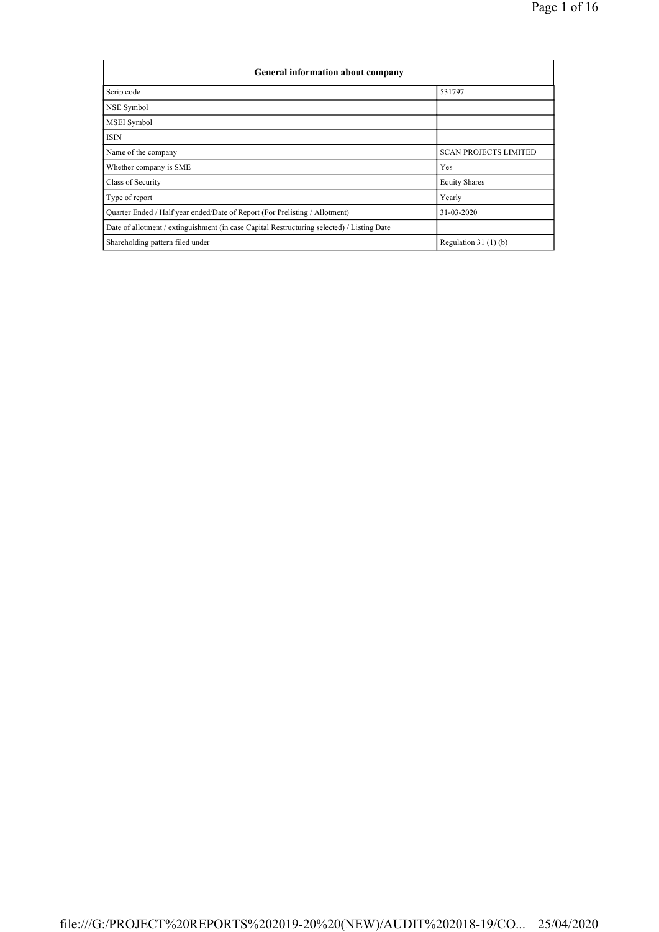| General information about company                                                          |                              |  |  |  |  |  |
|--------------------------------------------------------------------------------------------|------------------------------|--|--|--|--|--|
| Scrip code                                                                                 | 531797                       |  |  |  |  |  |
| <b>NSE</b> Symbol                                                                          |                              |  |  |  |  |  |
| MSEI Symbol                                                                                |                              |  |  |  |  |  |
| <b>ISIN</b>                                                                                |                              |  |  |  |  |  |
| Name of the company                                                                        | <b>SCAN PROJECTS LIMITED</b> |  |  |  |  |  |
| Whether company is SME                                                                     | Yes                          |  |  |  |  |  |
| Class of Security                                                                          | <b>Equity Shares</b>         |  |  |  |  |  |
| Type of report                                                                             | Yearly                       |  |  |  |  |  |
| Quarter Ended / Half year ended/Date of Report (For Prelisting / Allotment)                | 31-03-2020                   |  |  |  |  |  |
| Date of allotment / extinguishment (in case Capital Restructuring selected) / Listing Date |                              |  |  |  |  |  |
| Shareholding pattern filed under                                                           | Regulation $31(1)(b)$        |  |  |  |  |  |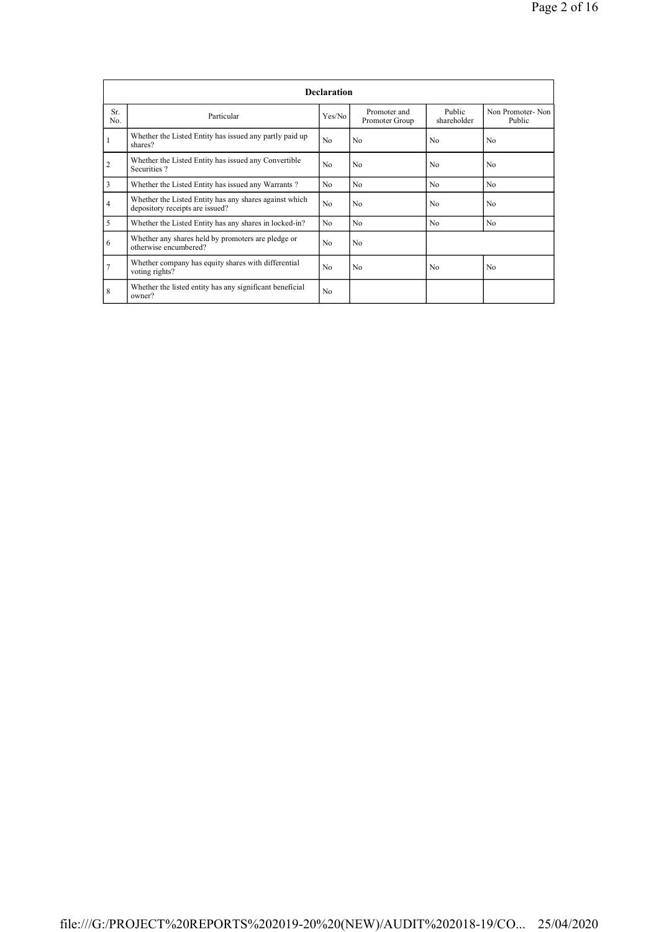|                | <b>Declaration</b>                                                                        |                |                                |                       |                            |  |  |
|----------------|-------------------------------------------------------------------------------------------|----------------|--------------------------------|-----------------------|----------------------------|--|--|
| Sr.<br>No.     | Particular                                                                                | Yes/No         | Promoter and<br>Promoter Group | Public<br>shareholder | Non Promoter-Non<br>Public |  |  |
|                | Whether the Listed Entity has issued any partly paid up<br>shares?                        | N <sub>0</sub> | N <sub>0</sub>                 | No                    | N <sub>0</sub>             |  |  |
| $\overline{c}$ | Whether the Listed Entity has issued any Convertible<br>Securities?                       | N <sub>0</sub> | N <sub>0</sub>                 | No                    | No.                        |  |  |
| 3              | Whether the Listed Entity has issued any Warrants?                                        | N <sub>0</sub> | N <sub>0</sub>                 | No                    | N <sub>0</sub>             |  |  |
| 4              | Whether the Listed Entity has any shares against which<br>depository receipts are issued? | No             | N <sub>0</sub>                 | N <sub>0</sub>        | N <sub>0</sub>             |  |  |
| 5              | Whether the Listed Entity has any shares in locked-in?                                    | N <sub>0</sub> | N <sub>0</sub>                 | N <sub>0</sub>        | N <sub>0</sub>             |  |  |
| 6              | Whether any shares held by promoters are pledge or<br>otherwise encumbered?               | No             | N <sub>0</sub>                 |                       |                            |  |  |
| $\overline{7}$ | Whether company has equity shares with differential<br>voting rights?                     | No             | N <sub>0</sub>                 | No.                   | N <sub>0</sub>             |  |  |
| 8              | Whether the listed entity has any significant beneficial<br>owner?                        | No             |                                |                       |                            |  |  |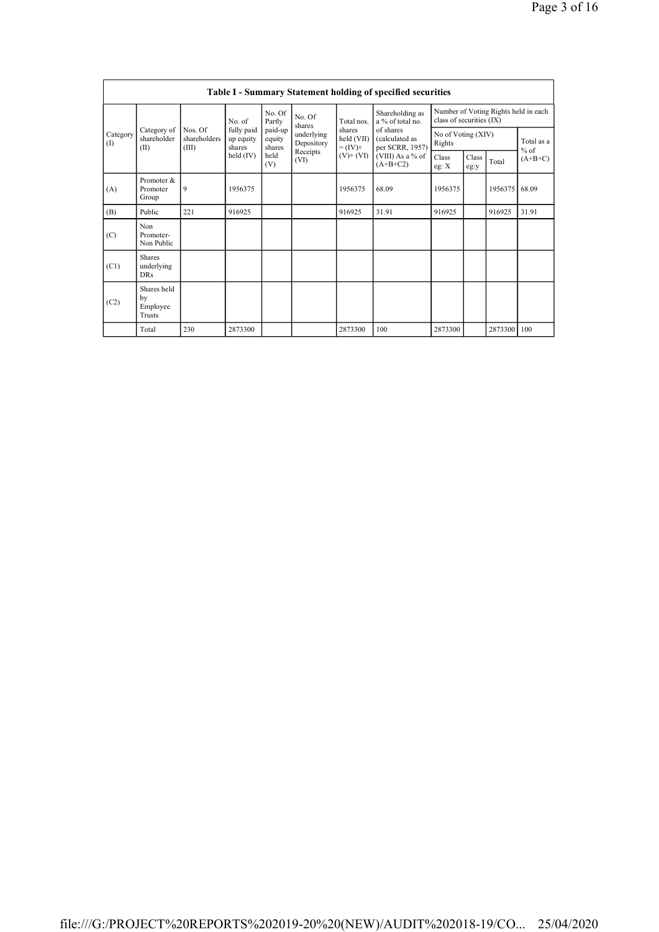|                 |                                                |                                  |                                   |                             |                                      |                                                                                      | Table I - Summary Statement holding of specified securities |                                                                  |               |                      |           |
|-----------------|------------------------------------------------|----------------------------------|-----------------------------------|-----------------------------|--------------------------------------|--------------------------------------------------------------------------------------|-------------------------------------------------------------|------------------------------------------------------------------|---------------|----------------------|-----------|
|                 |                                                |                                  | No. of                            | No. Of<br>Partly            | No. Of<br>shares                     | Total nos.                                                                           | Shareholding as<br>a % of total no.                         | Number of Voting Rights held in each<br>class of securities (IX) |               |                      |           |
| Category<br>(1) | Category of<br>shareholder<br>(II)             | Nos. Of<br>shareholders<br>(III) | fully paid<br>up equity<br>shares | paid-up<br>equity<br>shares | underlying<br>Depository<br>Receipts | of shares<br>shares<br>held (VII)<br>(calculated as<br>per SCRR, 1957)<br>$= (IV) +$ | No of Voting (XIV)<br>Rights                                |                                                                  |               | Total as a<br>$%$ of |           |
|                 |                                                |                                  | held (IV)                         | held<br>(V)                 | (VI)                                 | $(V)$ + $(VI)$                                                                       | (VIII) As a % of<br>$(A+B+C2)$                              | Class<br>eg: $X$                                                 | Class<br>eg:y | Total                | $(A+B+C)$ |
| (A)             | Promoter &<br>Promoter<br>Group                | 9                                | 1956375                           |                             |                                      | 1956375                                                                              | 68.09                                                       | 1956375                                                          |               | 1956375              | 68.09     |
| (B)             | Public                                         | 221                              | 916925                            |                             |                                      | 916925                                                                               | 31.91                                                       | 916925                                                           |               | 916925               | 31.91     |
| (C)             | Non<br>Promoter-<br>Non Public                 |                                  |                                   |                             |                                      |                                                                                      |                                                             |                                                                  |               |                      |           |
| (C1)            | <b>Shares</b><br>underlying<br><b>DRs</b>      |                                  |                                   |                             |                                      |                                                                                      |                                                             |                                                                  |               |                      |           |
| (C2)            | Shares held<br>by<br>Employee<br><b>Trusts</b> |                                  |                                   |                             |                                      |                                                                                      |                                                             |                                                                  |               |                      |           |
|                 | Total                                          | 230                              | 2873300                           |                             |                                      | 2873300                                                                              | 100                                                         | 2873300                                                          |               | 2873300              | 100       |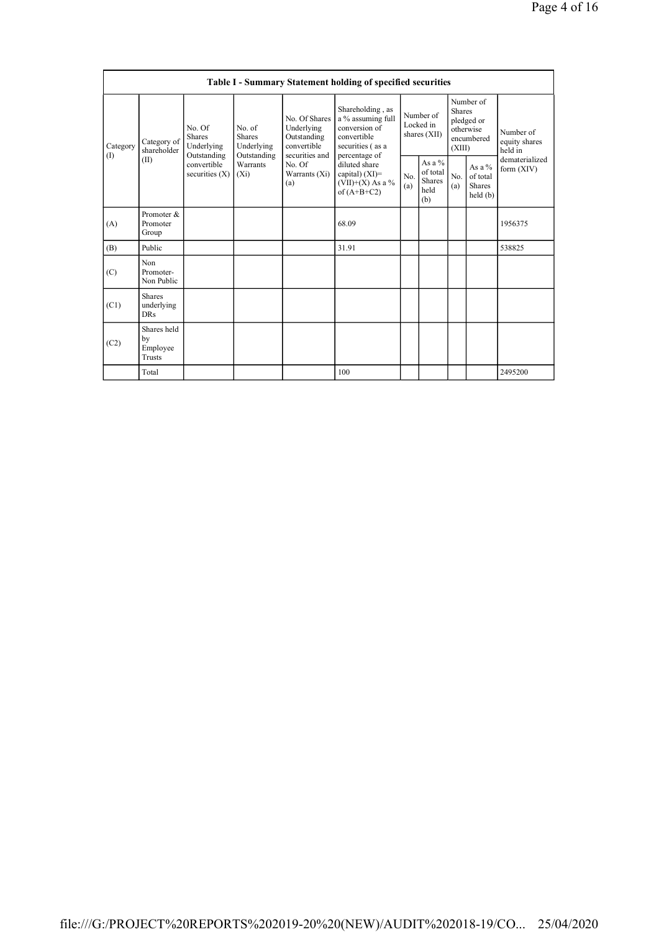|          |                                           |                                                      |                                                      |                                                                             | Table I - Summary Statement holding of specified securities                                                |                                                                                |                                           |                              |                                                    |                                       |
|----------|-------------------------------------------|------------------------------------------------------|------------------------------------------------------|-----------------------------------------------------------------------------|------------------------------------------------------------------------------------------------------------|--------------------------------------------------------------------------------|-------------------------------------------|------------------------------|----------------------------------------------------|---------------------------------------|
| Category | Category of<br>shareholder                | No. Of<br><b>Shares</b><br>Underlying<br>Outstanding | No. of<br><b>Shares</b><br>Underlying<br>Outstanding | No. Of Shares<br>Underlying<br>Outstanding<br>convertible<br>securities and | Shareholding, as<br>a % assuming full<br>conversion of<br>convertible<br>securities (as a<br>percentage of |                                                                                | Number of<br>Locked in<br>shares $(XII)$  | <b>Shares</b><br>(XIII)      | Number of<br>pledged or<br>otherwise<br>encumbered | Number of<br>equity shares<br>held in |
| (1)      | (II)                                      | convertible<br>securities $(X)$                      | Warrants<br>$(X_i)$                                  | No. Of<br>Warrants (Xi)<br>(a)                                              | diluted share<br>capital) $(XI)=$<br>$(VII)+(X)$ As a %<br>of $(A+B+C2)$                                   | As a %<br>of total<br>No.<br>No.<br><b>Shares</b><br>(a)<br>(a)<br>held<br>(b) | As a $%$<br>of total<br>Shares<br>held(b) | dematerialized<br>form (XIV) |                                                    |                                       |
| (A)      | Promoter &<br>Promoter<br>Group           |                                                      |                                                      |                                                                             | 68.09                                                                                                      |                                                                                |                                           |                              |                                                    | 1956375                               |
| (B)      | Public                                    |                                                      |                                                      |                                                                             | 31.91                                                                                                      |                                                                                |                                           |                              |                                                    | 538825                                |
| (C)      | Non<br>Promoter-<br>Non Public            |                                                      |                                                      |                                                                             |                                                                                                            |                                                                                |                                           |                              |                                                    |                                       |
| (C1)     | <b>Shares</b><br>underlying<br><b>DRs</b> |                                                      |                                                      |                                                                             |                                                                                                            |                                                                                |                                           |                              |                                                    |                                       |
| (C2)     | Shares held<br>by<br>Employee<br>Trusts   |                                                      |                                                      |                                                                             |                                                                                                            |                                                                                |                                           |                              |                                                    |                                       |
|          | Total                                     |                                                      |                                                      |                                                                             | 100                                                                                                        |                                                                                |                                           |                              |                                                    | 2495200                               |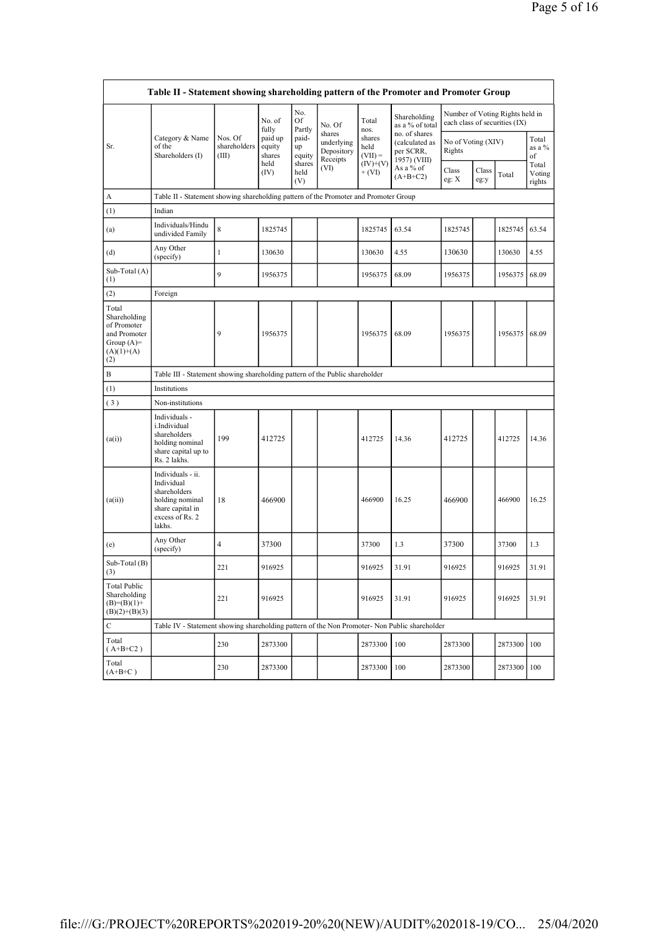|                                                                                             | Table II - Statement showing shareholding pattern of the Promoter and Promoter Group                                |                                  |                             |                       |                                                |                             |                                                              |                              |               |                                                                  |                           |
|---------------------------------------------------------------------------------------------|---------------------------------------------------------------------------------------------------------------------|----------------------------------|-----------------------------|-----------------------|------------------------------------------------|-----------------------------|--------------------------------------------------------------|------------------------------|---------------|------------------------------------------------------------------|---------------------------|
|                                                                                             |                                                                                                                     |                                  | No. of<br>fully             | No.<br>Of<br>Partly   | No. Of                                         | Total<br>nos.               | Shareholding<br>as a % of total                              |                              |               | Number of Voting Rights held in<br>each class of securities (IX) |                           |
| Sr.                                                                                         | Category & Name<br>of the<br>Shareholders (I)                                                                       | Nos. Of<br>shareholders<br>(III) | paid up<br>equity<br>shares | paid-<br>up<br>equity | shares<br>underlying<br>Depository<br>Receipts | shares<br>held<br>$(VII) =$ | no. of shares<br>(calculated as<br>per SCRR,<br>1957) (VIII) | No of Voting (XIV)<br>Rights |               |                                                                  | Total<br>as a %<br>of     |
|                                                                                             |                                                                                                                     |                                  | held<br>(IV)                | shares<br>held<br>(V) | (VI)                                           | $(IV)+(V)$<br>$+ (VI)$      | As a % of<br>$(A+B+C2)$                                      | Class<br>eg: X               | Class<br>eg:y | Total                                                            | Total<br>Voting<br>rights |
| A                                                                                           | Table II - Statement showing shareholding pattern of the Promoter and Promoter Group                                |                                  |                             |                       |                                                |                             |                                                              |                              |               |                                                                  |                           |
| (1)                                                                                         | Indian                                                                                                              |                                  |                             |                       |                                                |                             |                                                              |                              |               |                                                                  |                           |
| (a)                                                                                         | Individuals/Hindu<br>undivided Family                                                                               | 8                                | 1825745                     |                       |                                                | 1825745                     | 63.54                                                        | 1825745                      |               | 1825745                                                          | 63.54                     |
| (d)                                                                                         | Any Other<br>(specify)                                                                                              | 1                                | 130630                      |                       |                                                | 130630                      | 4.55                                                         | 130630                       |               | 130630                                                           | 4.55                      |
| Sub-Total (A)<br>(1)                                                                        |                                                                                                                     | 9                                | 1956375                     |                       |                                                | 1956375                     | 68.09                                                        | 1956375                      |               | 1956375                                                          | 68.09                     |
| (2)                                                                                         | Foreign                                                                                                             |                                  |                             |                       |                                                |                             |                                                              |                              |               |                                                                  |                           |
| Total<br>Shareholding<br>of Promoter<br>and Promoter<br>Group $(A)=$<br>$(A)(1)+(A)$<br>(2) |                                                                                                                     | 9                                | 1956375                     |                       |                                                | 1956375                     | 68.09                                                        | 1956375                      |               | 1956375                                                          | 68.09                     |
| B                                                                                           | Table III - Statement showing shareholding pattern of the Public shareholder                                        |                                  |                             |                       |                                                |                             |                                                              |                              |               |                                                                  |                           |
| (1)                                                                                         | Institutions                                                                                                        |                                  |                             |                       |                                                |                             |                                                              |                              |               |                                                                  |                           |
| (3)                                                                                         | Non-institutions                                                                                                    |                                  |                             |                       |                                                |                             |                                                              |                              |               |                                                                  |                           |
| (a(i))                                                                                      | Individuals -<br>i.Individual<br>shareholders<br>holding nominal<br>share capital up to<br>Rs. 2 lakhs.             | 199                              | 412725                      |                       |                                                | 412725                      | 14.36                                                        | 412725                       |               | 412725                                                           | 14.36                     |
| (a(ii))                                                                                     | Individuals - ii.<br>Individual<br>shareholders<br>holding nominal<br>share capital in<br>excess of Rs. 2<br>lakhs. | 18                               | 466900                      |                       |                                                | 466900                      | 16.25                                                        | 466900                       |               | 466900                                                           | 16.25                     |
| (e)                                                                                         | Any Other<br>(specify)                                                                                              | 4                                | 37300                       |                       |                                                | 37300                       | 1.3                                                          | 37300                        |               | 37300                                                            | 1.3                       |
| Sub-Total (B)<br>(3)                                                                        |                                                                                                                     | 221                              | 916925                      |                       |                                                | 916925                      | 31.91                                                        | 916925                       |               | 916925                                                           | 31.91                     |
| <b>Total Public</b><br>Shareholding<br>$(B)=(B)(1)+$<br>$(B)(2)+(B)(3)$                     |                                                                                                                     | 221                              | 916925                      |                       |                                                | 916925                      | 31.91                                                        | 916925                       |               | 916925                                                           | 31.91                     |
| $\mathbf C$                                                                                 | Table IV - Statement showing shareholding pattern of the Non Promoter- Non Public shareholder                       |                                  |                             |                       |                                                |                             |                                                              |                              |               |                                                                  |                           |
| Total<br>$(A+B+C2)$                                                                         |                                                                                                                     | 230                              | 2873300                     |                       |                                                | 2873300                     | 100                                                          | 2873300                      |               | 2873300                                                          | 100                       |
| Total<br>$(A+B+C)$                                                                          |                                                                                                                     | 230                              | 2873300                     |                       |                                                | 2873300                     | 100                                                          | 2873300                      |               | 2873300                                                          | 100                       |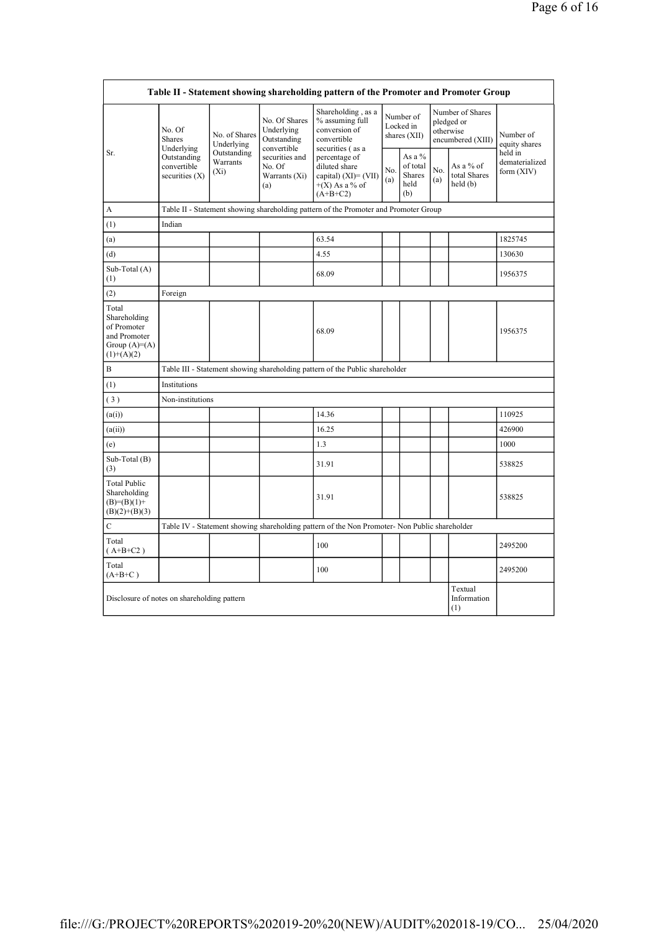|                                                                                        |                                                |                                                                                      |                                                           | Table II - Statement showing shareholding pattern of the Promoter and Promoter Group          |                                        |                                                    |                                                                  |                                      |                                           |  |
|----------------------------------------------------------------------------------------|------------------------------------------------|--------------------------------------------------------------------------------------|-----------------------------------------------------------|-----------------------------------------------------------------------------------------------|----------------------------------------|----------------------------------------------------|------------------------------------------------------------------|--------------------------------------|-------------------------------------------|--|
|                                                                                        | No. Of<br>Shares<br>Underlying                 | No. of Shares<br>Underlying                                                          | No. Of Shares<br>Underlying<br>Outstanding<br>convertible | Shareholding, as a<br>% assuming full<br>conversion of<br>convertible<br>securities (as a     | Number of<br>Locked in<br>shares (XII) |                                                    | Number of Shares<br>pledged or<br>otherwise<br>encumbered (XIII) |                                      | Number of<br>equity shares                |  |
| Sr.                                                                                    | Outstanding<br>convertible<br>securities $(X)$ | Outstanding<br>Warrants<br>$(X_i)$                                                   | securities and<br>No. Of<br>Warrants (Xi)<br>(a)          | percentage of<br>diluted share<br>capital) (XI)= (VII)<br>$+(X)$ As a % of<br>$(A+B+C2)$      | No.<br>(a)                             | As a %<br>of total<br><b>Shares</b><br>held<br>(b) | No.<br>(a)                                                       | As a % of<br>total Shares<br>held(b) | held in<br>dematerialized<br>form $(XIV)$ |  |
| А                                                                                      |                                                | Table II - Statement showing shareholding pattern of the Promoter and Promoter Group |                                                           |                                                                                               |                                        |                                                    |                                                                  |                                      |                                           |  |
| (1)                                                                                    | Indian                                         |                                                                                      |                                                           |                                                                                               |                                        |                                                    |                                                                  |                                      |                                           |  |
| (a)                                                                                    |                                                |                                                                                      |                                                           | 63.54                                                                                         |                                        |                                                    |                                                                  |                                      | 1825745                                   |  |
| (d)                                                                                    |                                                |                                                                                      |                                                           | 4.55                                                                                          |                                        |                                                    |                                                                  |                                      | 130630                                    |  |
| Sub-Total (A)<br>(1)                                                                   |                                                |                                                                                      |                                                           | 68.09                                                                                         |                                        |                                                    |                                                                  |                                      | 1956375                                   |  |
| (2)                                                                                    | Foreign                                        |                                                                                      |                                                           |                                                                                               |                                        |                                                    |                                                                  |                                      |                                           |  |
| Total<br>Shareholding<br>of Promoter<br>and Promoter<br>Group $(A)=A)$<br>$(1)+(A)(2)$ |                                                |                                                                                      |                                                           | 68.09                                                                                         |                                        |                                                    |                                                                  |                                      | 1956375                                   |  |
| B                                                                                      |                                                |                                                                                      |                                                           | Table III - Statement showing shareholding pattern of the Public shareholder                  |                                        |                                                    |                                                                  |                                      |                                           |  |
| (1)                                                                                    | Institutions                                   |                                                                                      |                                                           |                                                                                               |                                        |                                                    |                                                                  |                                      |                                           |  |
| (3)                                                                                    | Non-institutions                               |                                                                                      |                                                           |                                                                                               |                                        |                                                    |                                                                  |                                      |                                           |  |
| (a(i))                                                                                 |                                                |                                                                                      |                                                           | 14.36                                                                                         |                                        |                                                    |                                                                  |                                      | 110925                                    |  |
| (a(ii))                                                                                |                                                |                                                                                      |                                                           | 16.25                                                                                         |                                        |                                                    |                                                                  |                                      | 426900                                    |  |
| (e)                                                                                    |                                                |                                                                                      |                                                           | 1.3                                                                                           |                                        |                                                    |                                                                  |                                      | 1000                                      |  |
| Sub-Total (B)<br>(3)                                                                   |                                                |                                                                                      |                                                           | 31.91                                                                                         |                                        |                                                    |                                                                  |                                      | 538825                                    |  |
| <b>Total Public</b><br>Shareholding<br>$(B)= (B)(1) +$<br>$(B)(2)+(B)(3)$              |                                                |                                                                                      |                                                           | 31.91                                                                                         |                                        |                                                    |                                                                  |                                      | 538825                                    |  |
| C                                                                                      |                                                |                                                                                      |                                                           | Table IV - Statement showing shareholding pattern of the Non Promoter- Non Public shareholder |                                        |                                                    |                                                                  |                                      |                                           |  |
| Total<br>$(A+B+C2)$                                                                    |                                                |                                                                                      |                                                           | 100                                                                                           |                                        |                                                    |                                                                  |                                      | 2495200                                   |  |
| Total<br>$(A+B+C)$                                                                     |                                                |                                                                                      |                                                           | 100                                                                                           |                                        |                                                    |                                                                  |                                      | 2495200                                   |  |
| Disclosure of notes on shareholding pattern                                            |                                                |                                                                                      |                                                           |                                                                                               |                                        |                                                    |                                                                  | Textual<br>Information<br>(1)        |                                           |  |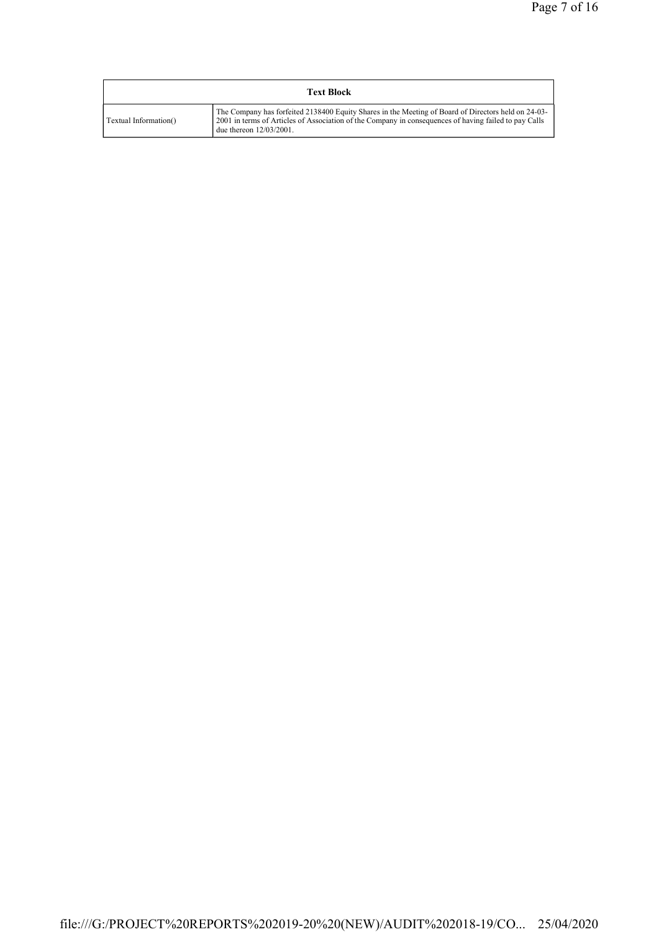| <b>Text Block</b>     |                                                                                                                                                                                                                                            |  |  |  |  |  |
|-----------------------|--------------------------------------------------------------------------------------------------------------------------------------------------------------------------------------------------------------------------------------------|--|--|--|--|--|
| Textual Information() | The Company has forfeited 2138400 Equity Shares in the Meeting of Board of Directors held on 24-03-<br>2001 in terms of Articles of Association of the Company in consequences of having failed to pay Calls<br>due thereon $12/03/2001$ . |  |  |  |  |  |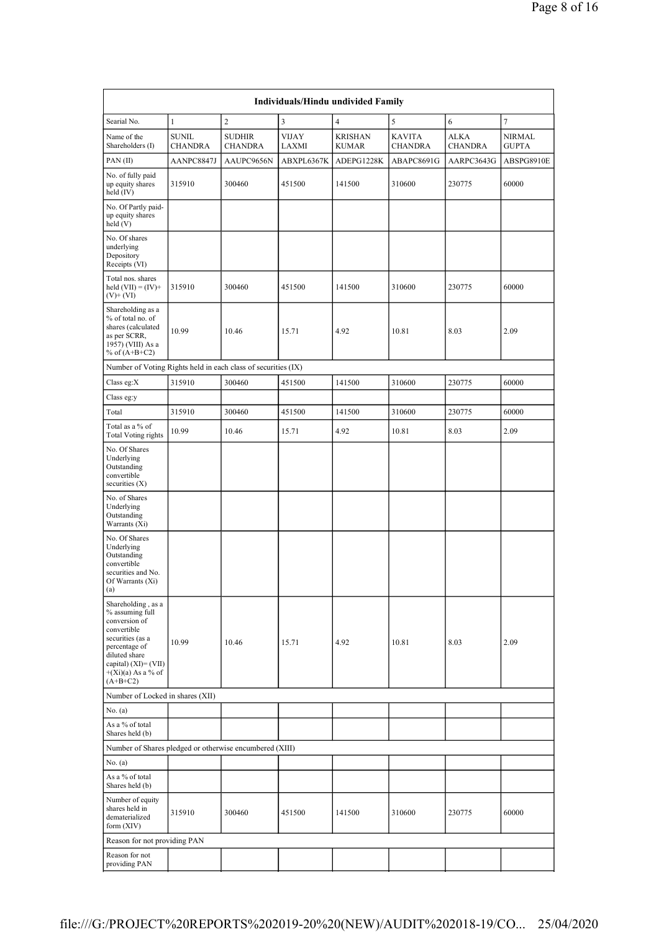|                                                                                                                                                                                              |                                |                                 |                       | Individuals/Hindu undivided Family |                                 |                               |                        |
|----------------------------------------------------------------------------------------------------------------------------------------------------------------------------------------------|--------------------------------|---------------------------------|-----------------------|------------------------------------|---------------------------------|-------------------------------|------------------------|
| Searial No.                                                                                                                                                                                  | $\mathbf{1}$                   | $\overline{c}$                  | 3                     | $\overline{4}$                     | 5                               | 6                             | $\tau$                 |
| Name of the<br>Shareholders (I)                                                                                                                                                              | <b>SUNIL</b><br><b>CHANDRA</b> | <b>SUDHIR</b><br><b>CHANDRA</b> | <b>VIJAY</b><br>LAXMI | <b>KRISHAN</b><br><b>KUMAR</b>     | <b>KAVITA</b><br><b>CHANDRA</b> | <b>ALKA</b><br><b>CHANDRA</b> | NIRMAL<br><b>GUPTA</b> |
| PAN(II)                                                                                                                                                                                      | AANPC8847J                     | AAUPC9656N                      | ABXPL6367K            | ADEPG1228K                         | ABAPC8691G                      | AARPC3643G                    | ABSPG8910E             |
| No. of fully paid<br>up equity shares<br>held (IV)                                                                                                                                           | 315910                         | 300460                          | 451500                | 141500                             | 310600                          | 230775                        | 60000                  |
| No. Of Partly paid-<br>up equity shares<br>held (V)                                                                                                                                          |                                |                                 |                       |                                    |                                 |                               |                        |
| No. Of shares<br>underlying<br>Depository<br>Receipts (VI)                                                                                                                                   |                                |                                 |                       |                                    |                                 |                               |                        |
| Total nos. shares<br>held $(VII) = (IV) +$<br>$(V)$ + $(VI)$                                                                                                                                 | 315910                         | 300460                          | 451500                | 141500                             | 310600                          | 230775                        | 60000                  |
| Shareholding as a<br>% of total no. of<br>shares (calculated<br>as per SCRR,<br>1957) (VIII) As a<br>% of $(A+B+C2)$                                                                         | 10.99                          | 10.46                           | 15.71                 | 4.92                               | 10.81                           | 8.03                          | 2.09                   |
| Number of Voting Rights held in each class of securities (IX)                                                                                                                                |                                |                                 |                       |                                    |                                 |                               |                        |
| Class eg:X                                                                                                                                                                                   | 315910                         | 300460                          | 451500                | 141500                             | 310600                          | 230775                        | 60000                  |
| Class eg:y                                                                                                                                                                                   |                                |                                 |                       |                                    |                                 |                               |                        |
| Total                                                                                                                                                                                        | 315910                         | 300460                          | 451500                | 141500                             | 310600                          | 230775                        | 60000                  |
| Total as a % of<br><b>Total Voting rights</b>                                                                                                                                                | 10.99                          | 10.46                           | 15.71                 | 4.92                               | 10.81                           | 8.03                          | 2.09                   |
| No. Of Shares<br>Underlying<br>Outstanding<br>convertible<br>securities $(X)$                                                                                                                |                                |                                 |                       |                                    |                                 |                               |                        |
| No. of Shares<br>Underlying<br>Outstanding<br>Warrants (Xi)                                                                                                                                  |                                |                                 |                       |                                    |                                 |                               |                        |
| No. Of Shares<br>Underlying<br>Outstanding<br>convertible<br>securities and No.<br>Of Warrants (Xi)<br>(a)                                                                                   |                                |                                 |                       |                                    |                                 |                               |                        |
| Shareholding, as a<br>% assuming full<br>conversion of<br>convertible<br>securities (as a<br>percentage of<br>diluted share<br>capital) $(XI) = (VII)$<br>$+(Xi)(a)$ As a % of<br>$(A+B+C2)$ | 10.99                          | 10.46                           | 15.71                 | 4.92                               | 10.81                           | 8.03                          | 2.09                   |
| Number of Locked in shares (XII)                                                                                                                                                             |                                |                                 |                       |                                    |                                 |                               |                        |
| No. (a)                                                                                                                                                                                      |                                |                                 |                       |                                    |                                 |                               |                        |
| As a % of total<br>Shares held (b)                                                                                                                                                           |                                |                                 |                       |                                    |                                 |                               |                        |
| Number of Shares pledged or otherwise encumbered (XIII)                                                                                                                                      |                                |                                 |                       |                                    |                                 |                               |                        |
| No. (a)                                                                                                                                                                                      |                                |                                 |                       |                                    |                                 |                               |                        |
| As a % of total<br>Shares held (b)                                                                                                                                                           |                                |                                 |                       |                                    |                                 |                               |                        |
| Number of equity<br>shares held in<br>dematerialized<br>form (XIV)                                                                                                                           | 315910                         | 300460                          | 451500                | 141500                             | 310600                          | 230775                        | 60000                  |
| Reason for not providing PAN                                                                                                                                                                 |                                |                                 |                       |                                    |                                 |                               |                        |
| Reason for not<br>providing PAN                                                                                                                                                              |                                |                                 |                       |                                    |                                 |                               |                        |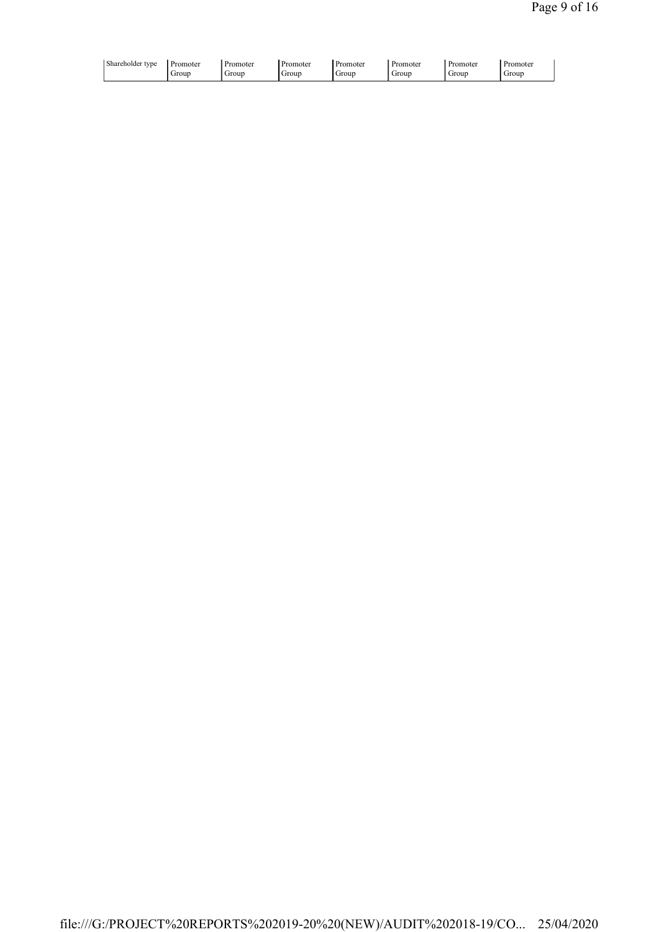| Shareholder type<br>Promoter<br>Group | Promoter<br>Group | Promoter<br>Group | . Promoter<br>Group | Promoter<br>Group | Promoter<br>Group | . Promoter<br>Group |  |
|---------------------------------------|-------------------|-------------------|---------------------|-------------------|-------------------|---------------------|--|
|                                       |                   |                   |                     |                   |                   |                     |  |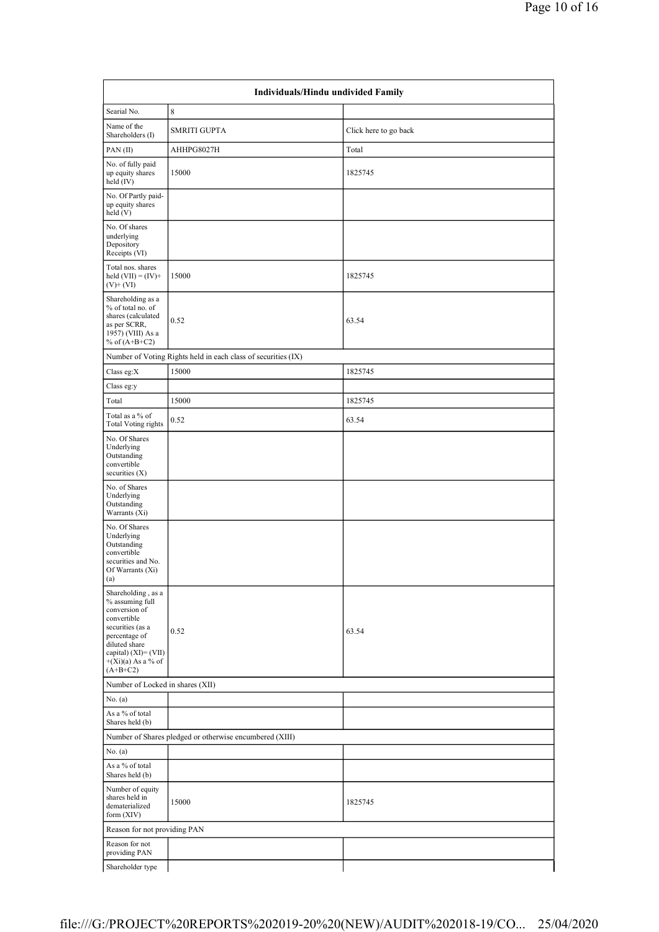|                                                                                                                                                                                              | Individuals/Hindu undivided Family                            |                       |  |  |  |  |  |  |
|----------------------------------------------------------------------------------------------------------------------------------------------------------------------------------------------|---------------------------------------------------------------|-----------------------|--|--|--|--|--|--|
| Searial No.                                                                                                                                                                                  | 8                                                             |                       |  |  |  |  |  |  |
| Name of the<br>Shareholders (I)                                                                                                                                                              | <b>SMRITI GUPTA</b>                                           | Click here to go back |  |  |  |  |  |  |
| PAN(II)                                                                                                                                                                                      | AHHPG8027H                                                    | Total                 |  |  |  |  |  |  |
| No. of fully paid<br>up equity shares<br>held (IV)                                                                                                                                           | 15000                                                         | 1825745               |  |  |  |  |  |  |
| No. Of Partly paid-<br>up equity shares<br>held (V)                                                                                                                                          |                                                               |                       |  |  |  |  |  |  |
| No. Of shares<br>underlying<br>Depository<br>Receipts (VI)                                                                                                                                   |                                                               |                       |  |  |  |  |  |  |
| Total nos. shares<br>held $(VII) = (IV) +$<br>$(V)$ + $(VI)$                                                                                                                                 | 15000                                                         | 1825745               |  |  |  |  |  |  |
| Shareholding as a<br>% of total no. of<br>shares (calculated<br>as per SCRR,<br>1957) (VIII) As a<br>% of $(A+B+C2)$                                                                         | 0.52                                                          | 63.54                 |  |  |  |  |  |  |
|                                                                                                                                                                                              | Number of Voting Rights held in each class of securities (IX) |                       |  |  |  |  |  |  |
| Class eg:X                                                                                                                                                                                   | 15000                                                         | 1825745               |  |  |  |  |  |  |
| Class eg:y                                                                                                                                                                                   |                                                               |                       |  |  |  |  |  |  |
| Total                                                                                                                                                                                        | 15000                                                         | 1825745               |  |  |  |  |  |  |
| Total as a % of<br><b>Total Voting rights</b>                                                                                                                                                | 0.52                                                          | 63.54                 |  |  |  |  |  |  |
| No. Of Shares<br>Underlying<br>Outstanding<br>convertible<br>securities $(X)$                                                                                                                |                                                               |                       |  |  |  |  |  |  |
| No. of Shares<br>Underlying<br>Outstanding<br>Warrants (Xi)                                                                                                                                  |                                                               |                       |  |  |  |  |  |  |
| No. Of Shares<br>Underlying<br>Outstanding<br>convertible<br>securities and No.<br>Of Warrants (Xi)<br>(a)                                                                                   |                                                               |                       |  |  |  |  |  |  |
| Shareholding, as a<br>% assuming full<br>conversion of<br>convertible<br>securities (as a<br>percentage of<br>diluted share<br>capital) $(XI) = (VII)$<br>$+(Xi)(a)$ As a % of<br>$(A+B+C2)$ | 0.52                                                          | 63.54                 |  |  |  |  |  |  |
| Number of Locked in shares (XII)                                                                                                                                                             |                                                               |                       |  |  |  |  |  |  |
| No. (a)                                                                                                                                                                                      |                                                               |                       |  |  |  |  |  |  |
| As a % of total<br>Shares held (b)                                                                                                                                                           |                                                               |                       |  |  |  |  |  |  |
|                                                                                                                                                                                              | Number of Shares pledged or otherwise encumbered (XIII)       |                       |  |  |  |  |  |  |
| No. (a)                                                                                                                                                                                      |                                                               |                       |  |  |  |  |  |  |
| As a % of total<br>Shares held (b)                                                                                                                                                           |                                                               |                       |  |  |  |  |  |  |
| Number of equity<br>shares held in<br>dematerialized<br>form (XIV)                                                                                                                           | 15000                                                         | 1825745               |  |  |  |  |  |  |
| Reason for not providing PAN                                                                                                                                                                 |                                                               |                       |  |  |  |  |  |  |
| Reason for not<br>providing PAN                                                                                                                                                              |                                                               |                       |  |  |  |  |  |  |
| Shareholder type                                                                                                                                                                             |                                                               |                       |  |  |  |  |  |  |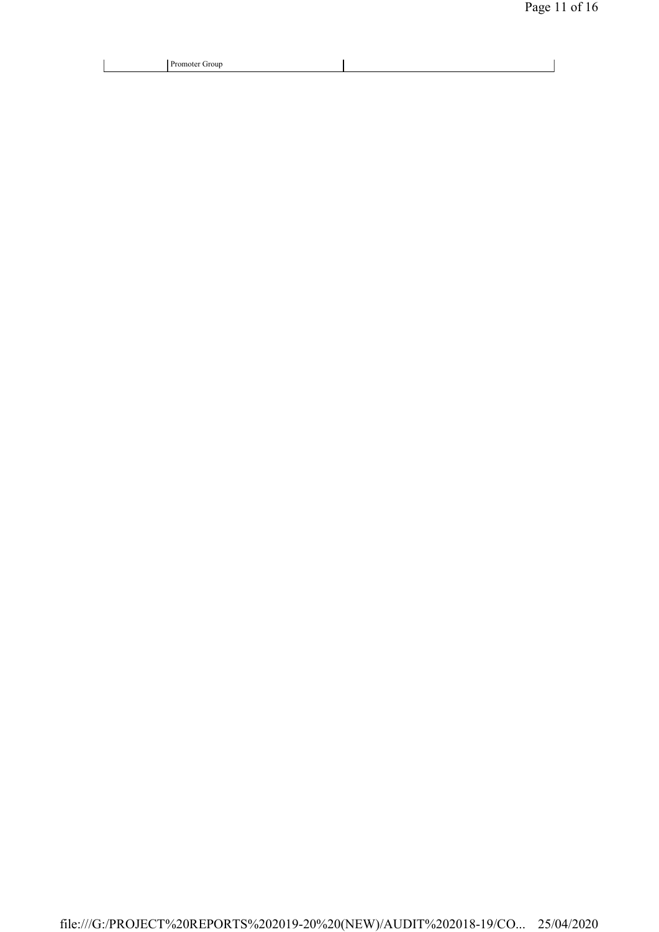| Promoter Group<br>. |  |
|---------------------|--|
|                     |  |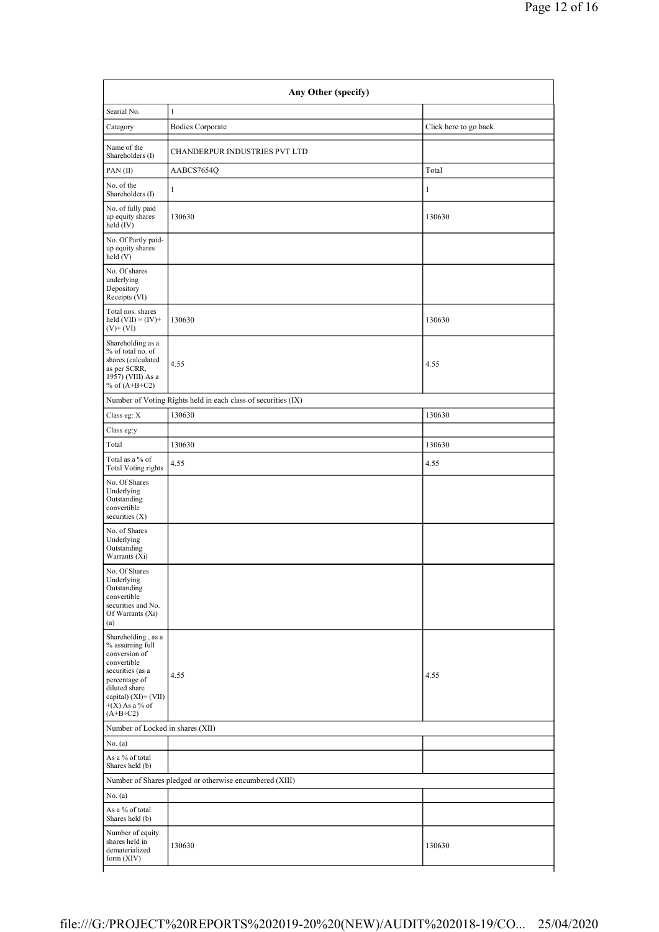| Searial No.                                                                                                                                                                              | $\mathbf{1}$                                                  |                       |
|------------------------------------------------------------------------------------------------------------------------------------------------------------------------------------------|---------------------------------------------------------------|-----------------------|
| Category                                                                                                                                                                                 | <b>Bodies Corporate</b>                                       | Click here to go back |
| Name of the<br>Shareholders (I)                                                                                                                                                          | CHANDERPUR INDUSTRIES PVT LTD                                 |                       |
| PAN(II)                                                                                                                                                                                  | AABCS7654Q                                                    | Total                 |
| No. of the<br>Shareholders (I)                                                                                                                                                           | $\mathbf{1}$                                                  | $\mathbf{1}$          |
| No. of fully paid<br>up equity shares<br>$held$ (IV)                                                                                                                                     | 130630                                                        | 130630                |
| No. Of Partly paid-<br>up equity shares<br>held(V)                                                                                                                                       |                                                               |                       |
| No. Of shares<br>underlying<br>Depository<br>Receipts (VI)                                                                                                                               |                                                               |                       |
| Total nos. shares<br>held $(VII) = (IV) +$<br>$(V)$ + $(VI)$                                                                                                                             | 130630                                                        | 130630                |
| Shareholding as a<br>% of total no. of<br>shares (calculated<br>as per SCRR,<br>1957) (VIII) As a<br>% of $(A+B+C2)$                                                                     | 4.55                                                          | 4.55                  |
|                                                                                                                                                                                          | Number of Voting Rights held in each class of securities (IX) |                       |
| Class eg: $\mathbf X$                                                                                                                                                                    | 130630                                                        | 130630                |
| Class eg:y                                                                                                                                                                               |                                                               |                       |
| Total                                                                                                                                                                                    | 130630                                                        | 130630                |
| Total as a % of<br><b>Total Voting rights</b>                                                                                                                                            | 4.55                                                          | 4.55                  |
| No. Of Shares<br>Underlying<br>Outstanding<br>convertible<br>securities $(X)$                                                                                                            |                                                               |                       |
| No. of Shares<br>Underlying<br>Outstanding<br>Warrants (Xi)                                                                                                                              |                                                               |                       |
| No. Of Shares<br>Underlying<br>Outstanding<br>convertible<br>securities and No.<br>Of Warrants (Xi)<br>(a)                                                                               |                                                               |                       |
| Shareholding, as a<br>% assuming full<br>conversion of<br>convertible<br>securities (as a<br>percentage of<br>diluted share<br>capital) $(XI) = (VII)$<br>$+(X)$ As a % of<br>$(A+B+C2)$ | 4.55                                                          | 4.55                  |
| Number of Locked in shares (XII)                                                                                                                                                         |                                                               |                       |
| No. (a)                                                                                                                                                                                  |                                                               |                       |
| As a % of total<br>Shares held (b)                                                                                                                                                       |                                                               |                       |
|                                                                                                                                                                                          | Number of Shares pledged or otherwise encumbered (XIII)       |                       |
| No. (a)                                                                                                                                                                                  |                                                               |                       |
| As a % of total<br>Shares held (b)                                                                                                                                                       |                                                               |                       |
| Number of equity<br>shares held in<br>dematerialized<br>form (XIV)                                                                                                                       | 130630                                                        | 130630                |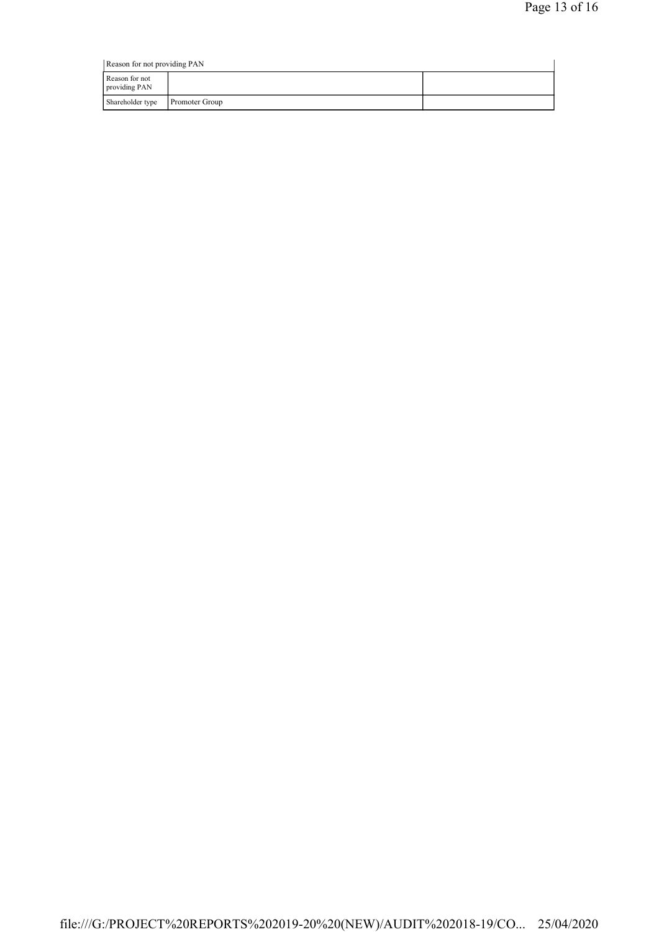| Reason for not providing PAN    |                       |  |  |  |
|---------------------------------|-----------------------|--|--|--|
| Reason for not<br>providing PAN |                       |  |  |  |
| Shareholder type                | <b>Promoter Group</b> |  |  |  |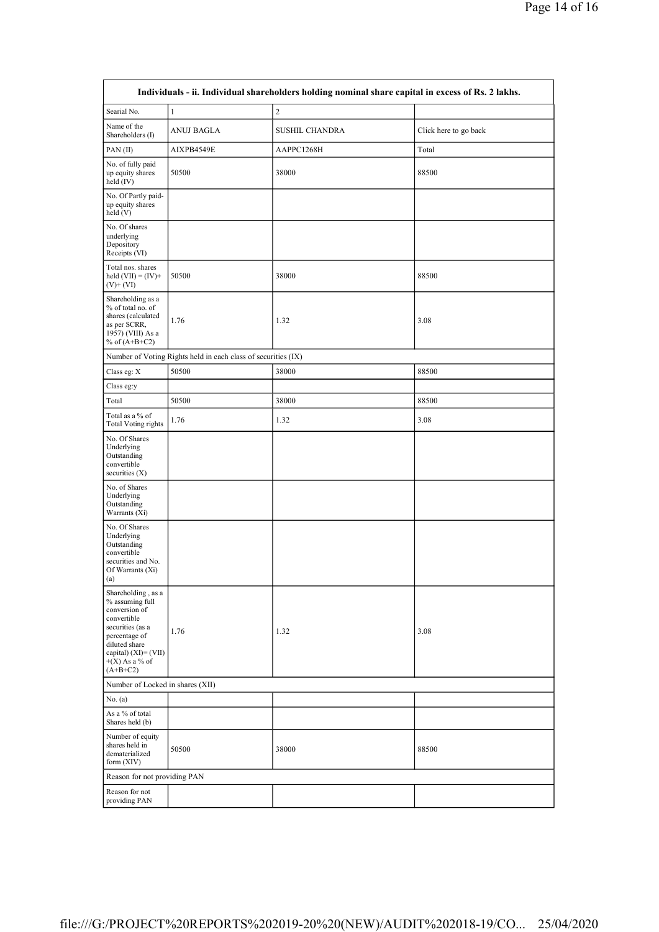| Individuals - ii. Individual shareholders holding nominal share capital in excess of Rs. 2 lakhs.                                                                                        |                                                               |                       |                       |  |  |
|------------------------------------------------------------------------------------------------------------------------------------------------------------------------------------------|---------------------------------------------------------------|-----------------------|-----------------------|--|--|
| Searial No.                                                                                                                                                                              | $\mathbf{1}$                                                  | $\overline{2}$        |                       |  |  |
| Name of the<br>Shareholders (I)                                                                                                                                                          | <b>ANUJ BAGLA</b>                                             | <b>SUSHIL CHANDRA</b> | Click here to go back |  |  |
| PAN(II)                                                                                                                                                                                  | AIXPB4549E                                                    | AAPPC1268H            | Total                 |  |  |
| No. of fully paid<br>up equity shares<br>held (IV)                                                                                                                                       | 50500                                                         | 38000                 | 88500                 |  |  |
| No. Of Partly paid-<br>up equity shares<br>held (V)                                                                                                                                      |                                                               |                       |                       |  |  |
| No. Of shares<br>underlying<br>Depository<br>Receipts (VI)                                                                                                                               |                                                               |                       |                       |  |  |
| Total nos. shares<br>held $(VII) = (IV) +$<br>$(V)+(VI)$                                                                                                                                 | 50500                                                         | 38000                 | 88500                 |  |  |
| Shareholding as a<br>% of total no. of<br>shares (calculated<br>as per SCRR,<br>1957) (VIII) As a<br>% of $(A+B+C2)$                                                                     | 1.76                                                          | 1.32                  | 3.08                  |  |  |
|                                                                                                                                                                                          | Number of Voting Rights held in each class of securities (IX) |                       |                       |  |  |
| Class eg: $\mathbf X$                                                                                                                                                                    | 50500                                                         | 38000                 | 88500                 |  |  |
| Class eg:y                                                                                                                                                                               |                                                               |                       |                       |  |  |
| Total                                                                                                                                                                                    | 50500                                                         | 38000                 | 88500                 |  |  |
| Total as a % of<br><b>Total Voting rights</b>                                                                                                                                            | 1.76                                                          | 1.32                  | 3.08                  |  |  |
| No. Of Shares<br>Underlying<br>Outstanding<br>convertible<br>securities $(X)$                                                                                                            |                                                               |                       |                       |  |  |
| No. of Shares<br>Underlying<br>Outstanding<br>Warrants (Xi)                                                                                                                              |                                                               |                       |                       |  |  |
| No. Of Shares<br>Underlying<br>Outstanding<br>convertible<br>securities and No.<br>Of Warrants (Xi)<br>(a)                                                                               |                                                               |                       |                       |  |  |
| Shareholding, as a<br>% assuming full<br>conversion of<br>convertible<br>securities (as a<br>percentage of<br>diluted share<br>capital) $(XI) = (VII)$<br>$+(X)$ As a % of<br>$(A+B+C2)$ | 1.76                                                          | 1.32                  | 3.08                  |  |  |
| Number of Locked in shares (XII)                                                                                                                                                         |                                                               |                       |                       |  |  |
| No. (a)                                                                                                                                                                                  |                                                               |                       |                       |  |  |
| As a % of total<br>Shares held (b)                                                                                                                                                       |                                                               |                       |                       |  |  |
| Number of equity<br>shares held in<br>dematerialized<br>form (XIV)                                                                                                                       | 50500                                                         | 38000                 | 88500                 |  |  |
| Reason for not providing PAN                                                                                                                                                             |                                                               |                       |                       |  |  |
| Reason for not<br>providing PAN                                                                                                                                                          |                                                               |                       |                       |  |  |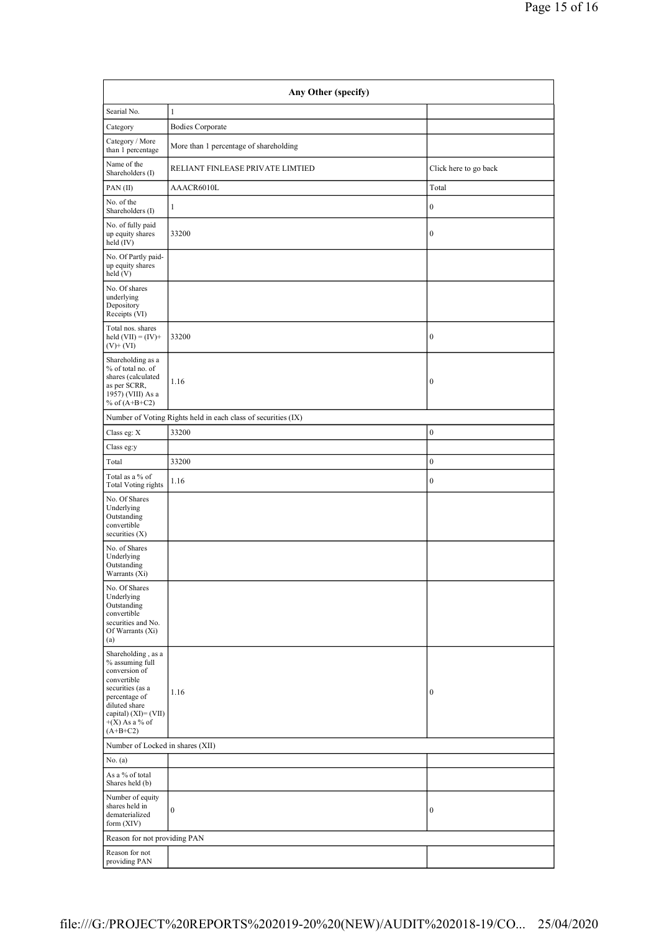| Any Other (specify)                                                                                                                                                                    |                                                               |                       |  |  |
|----------------------------------------------------------------------------------------------------------------------------------------------------------------------------------------|---------------------------------------------------------------|-----------------------|--|--|
| Searial No.                                                                                                                                                                            | $\mathbf{1}$                                                  |                       |  |  |
| Category                                                                                                                                                                               | <b>Bodies Corporate</b>                                       |                       |  |  |
| Category / More<br>than 1 percentage                                                                                                                                                   | More than 1 percentage of shareholding                        |                       |  |  |
| Name of the<br>Shareholders (I)                                                                                                                                                        | RELIANT FINLEASE PRIVATE LIMTIED                              | Click here to go back |  |  |
| PAN(II)                                                                                                                                                                                | AAACR6010L                                                    | Total                 |  |  |
| No. of the<br>Shareholders (I)                                                                                                                                                         | $\mathbf{1}$                                                  | $\boldsymbol{0}$      |  |  |
| No. of fully paid<br>up equity shares<br>$\text{held}(\text{IV})$                                                                                                                      | 33200                                                         | $\boldsymbol{0}$      |  |  |
| No. Of Partly paid-<br>up equity shares<br>held(V)                                                                                                                                     |                                                               |                       |  |  |
| No. Of shares<br>underlying<br>Depository<br>Receipts (VI)                                                                                                                             |                                                               |                       |  |  |
| Total nos. shares<br>held $(VII) = (IV) +$<br>$(V)$ + $(VI)$                                                                                                                           | 33200                                                         | $\boldsymbol{0}$      |  |  |
| Shareholding as a<br>% of total no. of<br>shares (calculated<br>as per SCRR,<br>1957) (VIII) As a<br>% of $(A+B+C2)$                                                                   | 1.16                                                          | $\boldsymbol{0}$      |  |  |
|                                                                                                                                                                                        | Number of Voting Rights held in each class of securities (IX) |                       |  |  |
| Class eg: X                                                                                                                                                                            | 33200                                                         | $\boldsymbol{0}$      |  |  |
| Class eg:y                                                                                                                                                                             |                                                               |                       |  |  |
| Total                                                                                                                                                                                  | 33200                                                         | $\boldsymbol{0}$      |  |  |
| Total as a % of<br><b>Total Voting rights</b>                                                                                                                                          | 1.16                                                          | $\mathbf{0}$          |  |  |
| No. Of Shares<br>Underlying<br>Outstanding<br>convertible<br>securities $(X)$                                                                                                          |                                                               |                       |  |  |
| No. of Shares<br>Underlying<br>Outstanding<br>Warrants (Xi)                                                                                                                            |                                                               |                       |  |  |
| No. Of Shares<br>Underlying<br>Outstanding<br>convertible<br>securities and No.<br>Of Warrants (Xi)<br>(a)                                                                             |                                                               |                       |  |  |
| Shareholding, as a<br>% assuming full<br>conversion of<br>convertible<br>securities (as a<br>percentage of<br>diluted share<br>capital) $(XI)=(VII)$<br>$+(X)$ As a % of<br>$(A+B+C2)$ | 1.16                                                          | $\mathbf{0}$          |  |  |
| Number of Locked in shares (XII)                                                                                                                                                       |                                                               |                       |  |  |
| No. (a)                                                                                                                                                                                |                                                               |                       |  |  |
| As a % of total<br>Shares held (b)                                                                                                                                                     |                                                               |                       |  |  |
| Number of equity<br>shares held in<br>dematerialized<br>form (XIV)                                                                                                                     | $\boldsymbol{0}$                                              | $\boldsymbol{0}$      |  |  |
| Reason for not providing PAN                                                                                                                                                           |                                                               |                       |  |  |
| Reason for not<br>providing PAN                                                                                                                                                        |                                                               |                       |  |  |